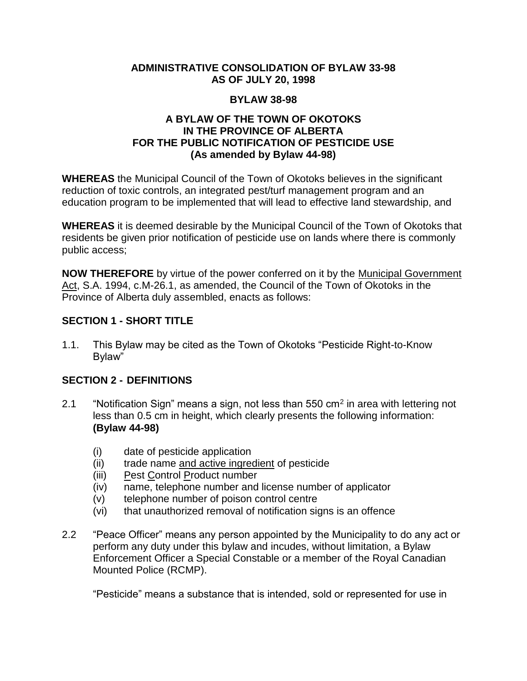### **ADMINISTRATIVE CONSOLIDATION OF BYLAW 33-98 AS OF JULY 20, 1998**

#### **BYLAW 38-98**

## **A BYLAW OF THE TOWN OF OKOTOKS IN THE PROVINCE OF ALBERTA FOR THE PUBLIC NOTIFICATION OF PESTICIDE USE (As amended by Bylaw 44-98)**

**WHEREAS** the Municipal Council of the Town of Okotoks believes in the significant reduction of toxic controls, an integrated pest/turf management program and an education program to be implemented that will lead to effective land stewardship, and

**WHEREAS** it is deemed desirable by the Municipal Council of the Town of Okotoks that residents be given prior notification of pesticide use on lands where there is commonly public access;

**NOW THEREFORE** by virtue of the power conferred on it by the Municipal Government Act, S.A. 1994, c.M-26.1, as amended, the Council of the Town of Okotoks in the Province of Alberta duly assembled, enacts as follows:

## **SECTION 1 - SHORT TITLE**

1.1. This Bylaw may be cited as the Town of Okotoks "Pesticide Right-to-Know Bylaw"

### **SECTION 2 - DEFINITIONS**

- 2.1 "Notification Sign" means a sign, not less than 550 cm<sup>2</sup> in area with lettering not less than 0.5 cm in height, which clearly presents the following information: **(Bylaw 44-98)**
	- (i) date of pesticide application
	- (ii) trade name and active ingredient of pesticide
	- (iii) Pest Control Product number
	- (iv) name, telephone number and license number of applicator
	- (v) telephone number of poison control centre
	- (vi) that unauthorized removal of notification signs is an offence
- 2.2 "Peace Officer" means any person appointed by the Municipality to do any act or perform any duty under this bylaw and incudes, without limitation, a Bylaw Enforcement Officer a Special Constable or a member of the Royal Canadian Mounted Police (RCMP).

"Pesticide" means a substance that is intended, sold or represented for use in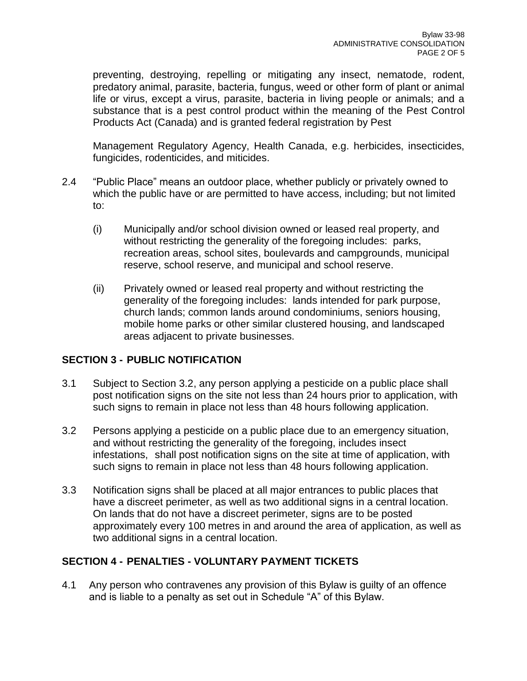preventing, destroying, repelling or mitigating any insect, nematode, rodent, predatory animal, parasite, bacteria, fungus, weed or other form of plant or animal life or virus, except a virus, parasite, bacteria in living people or animals; and a substance that is a pest control product within the meaning of the Pest Control Products Act (Canada) and is granted federal registration by Pest

Management Regulatory Agency, Health Canada, e.g. herbicides, insecticides, fungicides, rodenticides, and miticides.

- 2.4 "Public Place" means an outdoor place, whether publicly or privately owned to which the public have or are permitted to have access, including; but not limited to:
	- (i) Municipally and/or school division owned or leased real property, and without restricting the generality of the foregoing includes: parks, recreation areas, school sites, boulevards and campgrounds, municipal reserve, school reserve, and municipal and school reserve.
	- (ii) Privately owned or leased real property and without restricting the generality of the foregoing includes: lands intended for park purpose, church lands; common lands around condominiums, seniors housing, mobile home parks or other similar clustered housing, and landscaped areas adjacent to private businesses.

# **SECTION 3 - PUBLIC NOTIFICATION**

- 3.1 Subject to Section 3.2, any person applying a pesticide on a public place shall post notification signs on the site not less than 24 hours prior to application, with such signs to remain in place not less than 48 hours following application.
- 3.2 Persons applying a pesticide on a public place due to an emergency situation, and without restricting the generality of the foregoing, includes insect infestations, shall post notification signs on the site at time of application, with such signs to remain in place not less than 48 hours following application.
- 3.3 Notification signs shall be placed at all major entrances to public places that have a discreet perimeter, as well as two additional signs in a central location. On lands that do not have a discreet perimeter, signs are to be posted approximately every 100 metres in and around the area of application, as well as two additional signs in a central location.

### **SECTION 4 - PENALTIES - VOLUNTARY PAYMENT TICKETS**

4.1 Any person who contravenes any provision of this Bylaw is guilty of an offence and is liable to a penalty as set out in Schedule "A" of this Bylaw.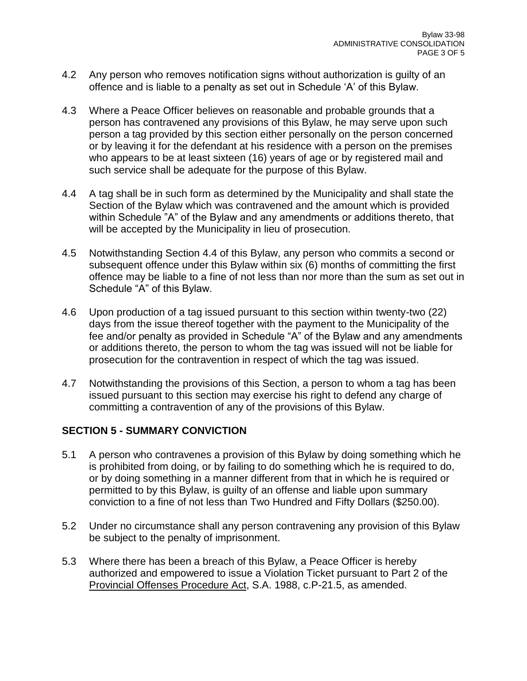- 4.2 Any person who removes notification signs without authorization is guilty of an offence and is liable to a penalty as set out in Schedule 'A' of this Bylaw.
- 4.3 Where a Peace Officer believes on reasonable and probable grounds that a person has contravened any provisions of this Bylaw, he may serve upon such person a tag provided by this section either personally on the person concerned or by leaving it for the defendant at his residence with a person on the premises who appears to be at least sixteen (16) years of age or by registered mail and such service shall be adequate for the purpose of this Bylaw.
- 4.4 A tag shall be in such form as determined by the Municipality and shall state the Section of the Bylaw which was contravened and the amount which is provided within Schedule "A" of the Bylaw and any amendments or additions thereto, that will be accepted by the Municipality in lieu of prosecution.
- 4.5 Notwithstanding Section 4.4 of this Bylaw, any person who commits a second or subsequent offence under this Bylaw within six (6) months of committing the first offence may be liable to a fine of not less than nor more than the sum as set out in Schedule "A" of this Bylaw.
- 4.6 Upon production of a tag issued pursuant to this section within twenty-two (22) days from the issue thereof together with the payment to the Municipality of the fee and/or penalty as provided in Schedule "A" of the Bylaw and any amendments or additions thereto, the person to whom the tag was issued will not be liable for prosecution for the contravention in respect of which the tag was issued.
- 4.7 Notwithstanding the provisions of this Section, a person to whom a tag has been issued pursuant to this section may exercise his right to defend any charge of committing a contravention of any of the provisions of this Bylaw.

# **SECTION 5 - SUMMARY CONVICTION**

- 5.1 A person who contravenes a provision of this Bylaw by doing something which he is prohibited from doing, or by failing to do something which he is required to do, or by doing something in a manner different from that in which he is required or permitted to by this Bylaw, is guilty of an offense and liable upon summary conviction to a fine of not less than Two Hundred and Fifty Dollars (\$250.00).
- 5.2 Under no circumstance shall any person contravening any provision of this Bylaw be subject to the penalty of imprisonment.
- 5.3 Where there has been a breach of this Bylaw, a Peace Officer is hereby authorized and empowered to issue a Violation Ticket pursuant to Part 2 of the Provincial Offenses Procedure Act, S.A. 1988, c.P-21.5, as amended.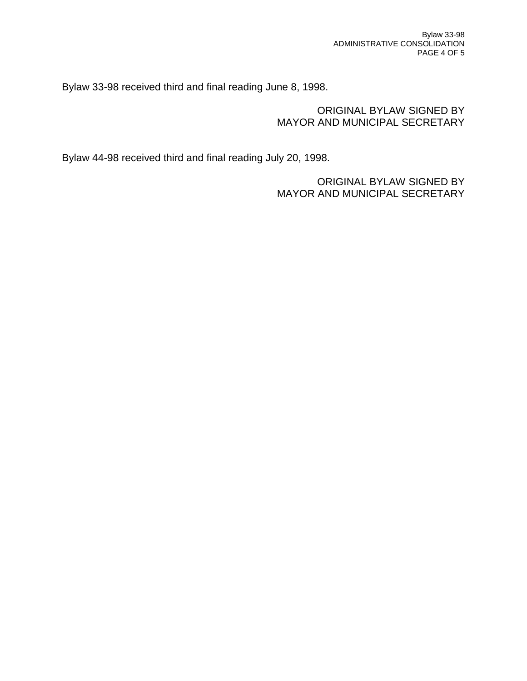Bylaw 33-98 received third and final reading June 8, 1998.

### ORIGINAL BYLAW SIGNED BY MAYOR AND MUNICIPAL SECRETARY

Bylaw 44-98 received third and final reading July 20, 1998.

ORIGINAL BYLAW SIGNED BY MAYOR AND MUNICIPAL SECRETARY